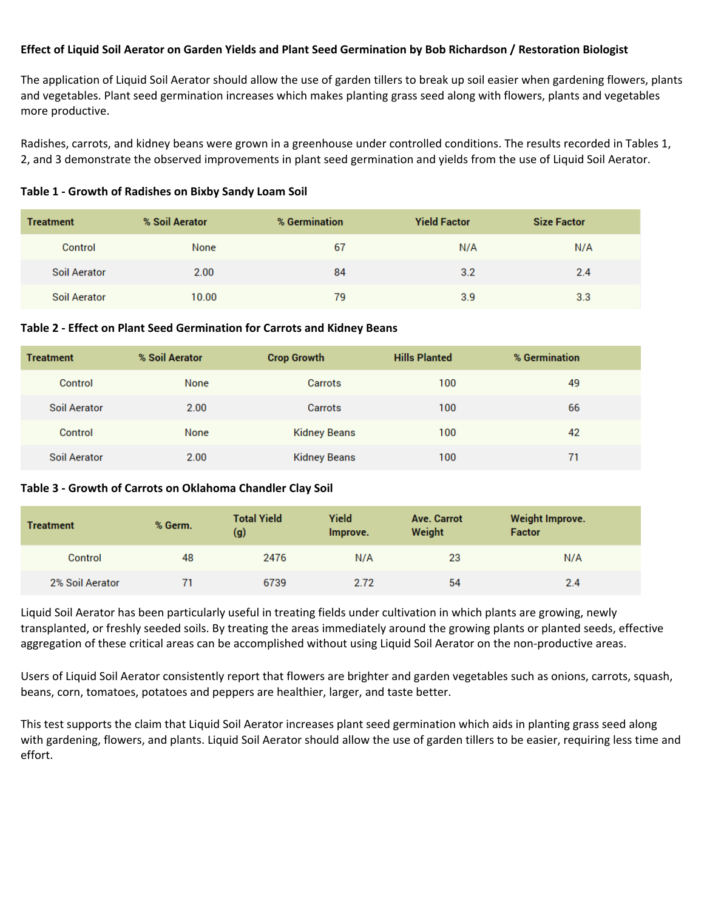### **Effect of Liquid Soil Aerator on Garden Yields and Plant Seed Germination by Bob Richardson / Restoration Biologist**

The application of Liquid Soil Aerator should allow the use of garden tillers to break up soil easier when gardening flowers, plants and vegetables. Plant seed germination increases which makes planting grass seed along with flowers, plants and vegetables more productive.

Radishes, carrots, and kidney beans were grown in a greenhouse under controlled conditions. The results recorded in Tables 1, 2, and 3 demonstrate the observed improvements in plant seed germination and yields from the use of Liquid Soil Aerator.

|  | Table 1 - Growth of Radishes on Bixby Sandy Loam Soil |  |
|--|-------------------------------------------------------|--|
|--|-------------------------------------------------------|--|

| <b>Treatment</b> | % Soil Aerator | % Germination | <b>Yield Factor</b> | <b>Size Factor</b> |
|------------------|----------------|---------------|---------------------|--------------------|
| Control          | None           | 67            | N/A                 | N/A                |
| Soil Aerator     | 2.00           | 84            | 3.2                 | 2.4                |
| Soil Aerator     | 10.00          | 79            | 3.9                 | 3.3                |

#### **Table 2 ‐ Effect on Plant Seed Germination for Carrots and Kidney Beans**

| <b>Treatment</b> | % Soil Aerator | <b>Crop Growth</b>  | <b>Hills Planted</b> | % Germination |
|------------------|----------------|---------------------|----------------------|---------------|
| Control          | None           | Carrots             | 100                  | 49            |
| Soil Aerator     | 2.00           | Carrots             | 100                  | 66            |
| Control          | None           | <b>Kidney Beans</b> | 100                  | 42            |
| Soil Aerator     | 2.00           | <b>Kidney Beans</b> | 100                  | 71            |

#### **Table 3 ‐ Growth of Carrots on Oklahoma Chandler Clay Soil**

| <b>Treatment</b> | % Germ. | <b>Total Yield</b><br>(g) | Yield<br>Improve. | Ave. Carrot<br>Weight | <b>Weight Improve.</b><br><b>Factor</b> |
|------------------|---------|---------------------------|-------------------|-----------------------|-----------------------------------------|
| Control          | 48      | 2476                      | N/A               | 23                    | N/A                                     |
| 2% Soil Aerator  |         | 6739                      | 2.72              | 54                    | 2.4                                     |

Liquid Soil Aerator has been particularly useful in treating fields under cultivation in which plants are growing, newly transplanted, or freshly seeded soils. By treating the areas immediately around the growing plants or planted seeds, effective aggregation of these critical areas can be accomplished without using Liquid Soil Aerator on the non-productive areas.

Users of Liquid Soil Aerator consistently report that flowers are brighter and garden vegetables such as onions, carrots, squash, beans, corn, tomatoes, potatoes and peppers are healthier, larger, and taste better.

This test supports the claim that Liquid Soil Aerator increases plant seed germination which aids in planting grass seed along with gardening, flowers, and plants. Liquid Soil Aerator should allow the use of garden tillers to be easier, requiring less time and effort.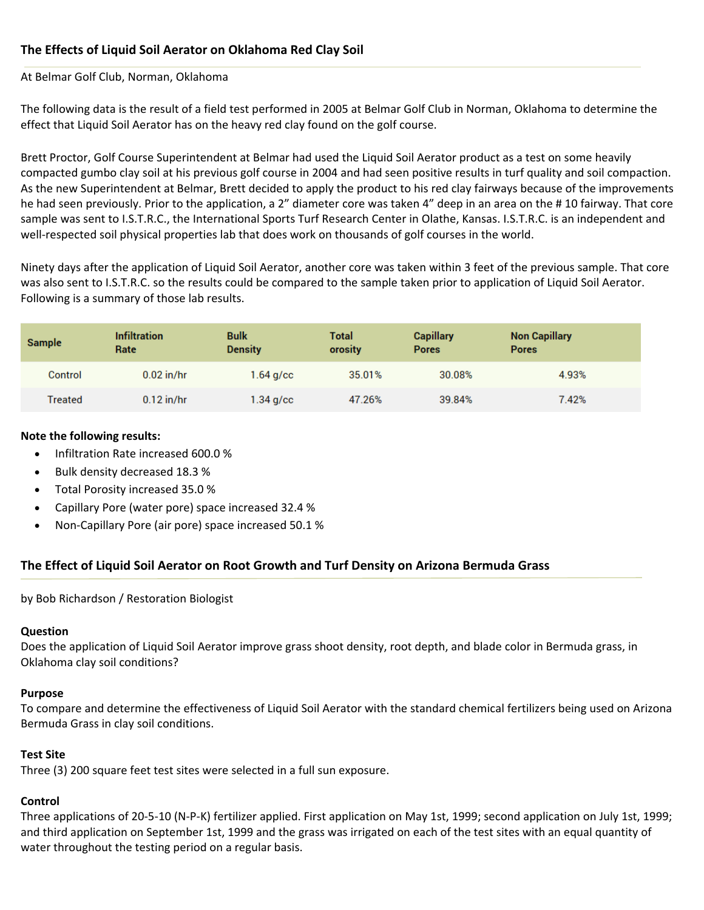# **The Effects of Liquid Soil Aerator on Oklahoma Red Clay Soil**

## At Belmar Golf Club, Norman, Oklahoma

The following data is the result of a field test performed in 2005 at Belmar Golf Club in Norman, Oklahoma to determine the effect that Liquid Soil Aerator has on the heavy red clay found on the golf course.

Brett Proctor, Golf Course Superintendent at Belmar had used the Liquid Soil Aerator product as a test on some heavily compacted gumbo clay soil at his previous golf course in 2004 and had seen positive results in turf quality and soil compaction. As the new Superintendent at Belmar, Brett decided to apply the product to his red clay fairways because of the improvements he had seen previously. Prior to the application, a 2" diameter core was taken 4" deep in an area on the # 10 fairway. That core sample was sent to I.S.T.R.C., the International Sports Turf Research Center in Olathe, Kansas. I.S.T.R.C. is an independent and well-respected soil physical properties lab that does work on thousands of golf courses in the world.

Ninety days after the application of Liquid Soil Aerator, another core was taken within 3 feet of the previous sample. That core was also sent to I.S.T.R.C. so the results could be compared to the sample taken prior to application of Liquid Soil Aerator. Following is a summary of those lab results.

| <b>Sample</b> | <b>Infiltration</b><br>Rate | <b>Bulk</b><br><b>Density</b> | <b>Total</b><br>orosity | <b>Capillary</b><br><b>Pores</b> | <b>Non Capillary</b><br><b>Pores</b> |
|---------------|-----------------------------|-------------------------------|-------------------------|----------------------------------|--------------------------------------|
| Control       | $0.02$ in/hr                | $1.64$ g/cc                   | 35,01%                  | 30.08%                           | 4.93%                                |
| Treated       | $0.12$ in/hr                | $1.34$ g/cc                   | 47.26%                  | 39.84%                           | 7.42%                                |

## **Note the following results:**

- Infiltration Rate increased 600.0 %
- Bulk density decreased 18.3 %
- Total Porosity increased 35.0 %
- Capillary Pore (water pore) space increased 32.4 %
- Non-Capillary Pore (air pore) space increased 50.1 %

# **The Effect of Liquid Soil Aerator on Root Growth and Turf Density on Arizona Bermuda Grass**

by Bob Richardson / Restoration Biologist

## **Question**

Does the application of Liquid Soil Aerator improve grass shoot density, root depth, and blade color in Bermuda grass, in Oklahoma clay soil conditions?

## **Purpose**

To compare and determine the effectiveness of Liquid Soil Aerator with the standard chemical fertilizers being used on Arizona Bermuda Grass in clay soil conditions.

## **Test Site**

Three (3) 200 square feet test sites were selected in a full sun exposure.

## **Control**

Three applications of 20‐5‐10 (N‐P‐K) fertilizer applied. First application on May 1st, 1999; second application on July 1st, 1999; and third application on September 1st, 1999 and the grass was irrigated on each of the test sites with an equal quantity of water throughout the testing period on a regular basis.